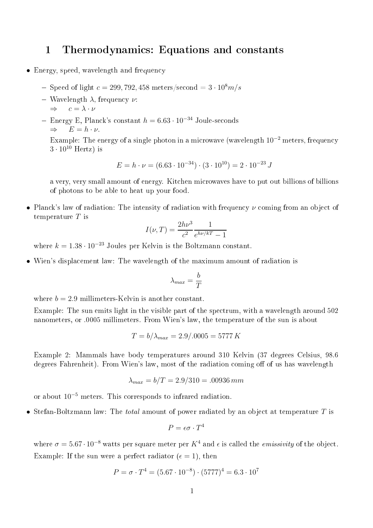## Thermodynamics: Equations and constants  $\mathbf{1}$

- Energy, speed, wavelength and frequency
	- Speed of light  $c = 299, 792, 458$  meters/second  $= 3 \cdot 10^8 m/s$
	- Wavelength  $λ$ , frequency  $ν$ :
		- $\Rightarrow$   $c = \lambda \cdot \nu$
	- − Energy E, Planck's constant  $h = 6.63 \cdot 10^{-34}$  Joule-seconds  $\Rightarrow$   $E = h \cdot \nu$ .

Example: The energy of a single photon in a microwave (wavelength  $10^{-2}$  meters, frequency  $3 \cdot 10^{10}$  Hertz) is

$$
E = h \cdot \nu = (6.63 \cdot 10^{-34}) \cdot (3 \cdot 10^{10}) = 2 \cdot 10^{-23} \text{ J}
$$

roway, very smaller military of energy. Hencefor the contract military put out billions of billions of of photons to be able to heat up your food.

• Planck's law of radiation: The intensity of radiation with frequency  $\nu$  coming from an object of temperature  $T$  is

$$
I(\nu, T) = \frac{2h\nu^3}{c^2} \frac{1}{e^{h\nu/kT} - 1}
$$

where  $k = 1.38 \cdot 10^{-23}$  Joules per Kelvin is the Boltzmann constant.

• Wien's displa
ement law: The wavelength of the maximum amount of radiation is

$$
\lambda_{max} = \frac{b}{T}
$$

where  $b = 2.9$  millimeters-Kelvin is another constant.

Example: The sun emits light in the visible part of the spe
trum, with <sup>a</sup> wavelength around <sup>502</sup> nanometers, or .0005 millimeters. From Wien's law, the temperature of the sun is about

$$
T = b/\lambda_{max} = 2.9/.0005 = 5777 K
$$

Example 2: Mammals have body temperatures around <sup>310</sup> Kelvin (37 degrees Celsius, 98.6 degrees Fahrenheit). From Wien's law, most of the radiation coming off of us has wavelength

$$
\lambda_{max} = b/T = 2.9/310 = .00936 \, mm
$$

or about 10<sup>−</sup><sup>5</sup> meters. This orresponds to infrared radiation.

• Stefan-Boltzmann law: The *total* amount of power radiated by an object at temperature  $T$  is

$$
P = \epsilon \sigma \cdot T^4
$$

where  $\sigma = 5.67 \cdot 10^{-8}$  watts per square meter per  $K^4$  and  $\epsilon$  is called the *emissivity* of the object. Example: If the sun were a perfect radiator ( $\epsilon = 1$ ), then

$$
P = \sigma \cdot T^4 = (5.67 \cdot 10^{-8}) \cdot (5777)^4 = 6.3 \cdot 10^7
$$